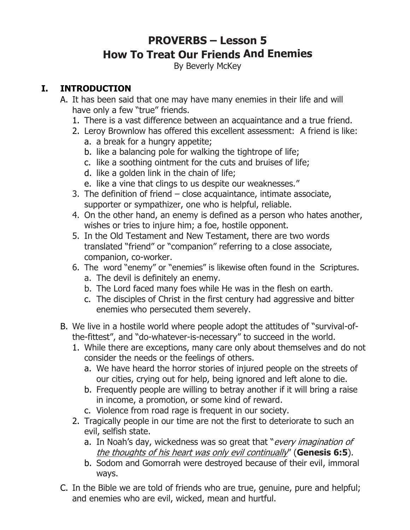# **PROVERBS – Lesson 5 How To Treat Our Friends And Enemies**

By Beverly McKey

### **I. INTRODUCTION**

- A. It has been said that one may have many enemies in their life and will have only a few "true" friends.
	- 1. There is a vast difference between an acquaintance and a true friend.
	- 2. Leroy Brownlow has offered this excellent assessment: A friend is like:
		- a. a break for a hungry appetite;
		- b. like a balancing pole for walking the tightrope of life;
		- c. like a soothing ointment for the cuts and bruises of life;
		- d. like a golden link in the chain of life;
		- e. like a vine that clings to us despite our weaknesses."
	- 3. The definition of friend close acquaintance, intimate associate, supporter or sympathizer, one who is helpful, reliable.
	- 4. On the other hand, an enemy is defined as a person who hates another, wishes or tries to injure him; a foe, hostile opponent.
	- 5. In the Old Testament and New Testament, there are two words translated "friend" or "companion" referring to a close associate, companion, co-worker.
	- 6. The word "enemy" or "enemies" is likewise often found in the Scriptures.
		- a. The devil is definitely an enemy.
		- b. The Lord faced many foes while He was in the flesh on earth.
		- c. The disciples of Christ in the first century had aggressive and bitter enemies who persecuted them severely.
- B. We live in a hostile world where people adopt the attitudes of "survival-ofthe-fittest", and "do-whatever-is-necessary" to succeed in the world.
	- 1. While there are exceptions, many care only about themselves and do not consider the needs or the feelings of others.
		- a. We have heard the horror stories of injured people on the streets of our cities, crying out for help, being ignored and left alone to die.
		- b. Frequently people are willing to betray another if it will bring a raise in income, a promotion, or some kind of reward.
		- c. Violence from road rage is frequent in our society.
	- 2. Tragically people in our time are not the first to deteriorate to such an evil, selfish state.
		- a. In Noah's day, wickedness was so great that "every imagination of the thoughts of his heart was only evil continually" (**Genesis 6:5**).
		- b. Sodom and Gomorrah were destroyed because of their evil, immoral ways.
- C. In the Bible we are told of friends who are true, genuine, pure and helpful; and enemies who are evil, wicked, mean and hurtful.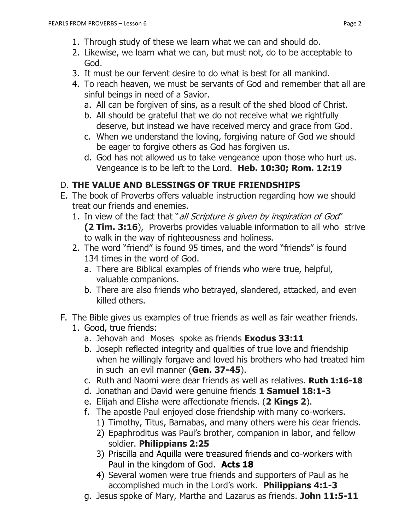- 1. Through study of these we learn what we can and should do.
- 2. Likewise, we learn what we can, but must not, do to be acceptable to God.
- 3. It must be our fervent desire to do what is best for all mankind.
- 4. To reach heaven, we must be servants of God and remember that all are sinful beings in need of a Savior.
	- a. All can be forgiven of sins, as a result of the shed blood of Christ.
	- b. All should be grateful that we do not receive what we rightfully deserve, but instead we have received mercy and grace from God.
	- c. When we understand the loving, forgiving nature of God we should be eager to forgive others as God has forgiven us.
	- d. God has not allowed us to take vengeance upon those who hurt us. Vengeance is to be left to the Lord. **Heb. 10:30; Rom. 12:19**

## D. **THE VALUE AND BLESSINGS OF TRUE FRIENDSHIPS**

- E. The book of Proverbs offers valuable instruction regarding how we should treat our friends and enemies.
	- 1. In view of the fact that "all Scripture is given by inspiration of God" **(2 Tim. 3:16**), Proverbs provides valuable information to all who strive to walk in the way of righteousness and holiness.
	- 2. The word "friend" is found 95 times, and the word "friends" is found 134 times in the word of God.
		- a. There are Biblical examples of friends who were true, helpful, valuable companions.
		- b. There are also friends who betrayed, slandered, attacked, and even killed others.
- F. The Bible gives us examples of true friends as well as fair weather friends.
	- 1. Good, true friends:
		- a. Jehovah and Moses spoke as friends **Exodus 33:11**
		- b. Joseph reflected integrity and qualities of true love and friendship when he willingly forgave and loved his brothers who had treated him in such an evil manner (**Gen. 37-45**).
		- c. Ruth and Naomi were dear friends as well as relatives. **Ruth 1:16-18**
		- d. Jonathan and David were genuine friends **1 Samuel 18:1-3**
		- e. Elijah and Elisha were affectionate friends. (**2 Kings 2**).
		- f. The apostle Paul enjoyed close friendship with many co-workers.
			- 1) Timothy, Titus, Barnabas, and many others were his dear friends.
			- 2) Epaphroditus was Paul's brother, companion in labor, and fellow soldier. **Philippians 2:25**
			- 3) Priscilla and Aquilla were treasured friends and co-workers with Paul in the kingdom of God. **Acts 18**
			- 4) Several women were true friends and supporters of Paul as he accomplished much in the Lord's work. **Philippians 4:1-3**
		- g. Jesus spoke of Mary, Martha and Lazarus as friends. **John 11:5-11**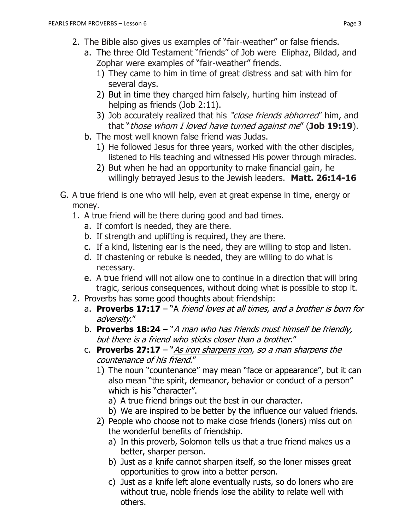- 2. The Bible also gives us examples of "fair-weather" or false friends.
	- a. The three Old Testament "friends" of Job were Eliphaz, Bildad, and Zophar were examples of "fair-weather" friends.
		- 1) They came to him in time of great distress and sat with him for several days.
		- 2) But in time they charged him falsely, hurting him instead of helping as friends (Job 2:11).
		- 3) Job accurately realized that his "close friends abhorred" him, and that "those whom I loved have turned against me" (**Job 19:19**).
	- b. The most well known false friend was Judas.
		- 1) He followed Jesus for three years, worked with the other disciples, listened to His teaching and witnessed His power through miracles.
		- 2) But when he had an opportunity to make financial gain, he willingly betrayed Jesus to the Jewish leaders. **Matt. 26:14-16**
- G. A true friend is one who will help, even at great expense in time, energy or money.
	- 1. A true friend will be there during good and bad times.
		- a. If comfort is needed, they are there.
		- b. If strength and uplifting is required, they are there.
		- c. If a kind, listening ear is the need, they are willing to stop and listen.
		- d. If chastening or rebuke is needed, they are willing to do what is necessary.
		- e. A true friend will not allow one to continue in a direction that will bring tragic, serious consequences, without doing what is possible to stop it.
	- 2. Proverbs has some good thoughts about friendship:
		- a. **Proverbs 17:17**  "A friend loves at all times, and a brother is born for adversity."
		- b. **Proverbs 18:24** "A man who has friends must himself be friendly, but there is a friend who sticks closer than a brother."
		- c. **Proverbs 27:17** "As iron sharpens iron, so a man sharpens the countenance of his friend."
			- 1) The noun "countenance" may mean "face or appearance", but it can also mean "the spirit, demeanor, behavior or conduct of a person" which is his "character".
				- a) A true friend brings out the best in our character.
				- b) We are inspired to be better by the influence our valued friends.
			- 2) People who choose not to make close friends (loners) miss out on the wonderful benefits of friendship.
				- a) In this proverb, Solomon tells us that a true friend makes us a better, sharper person.
				- b) Just as a knife cannot sharpen itself, so the loner misses great opportunities to grow into a better person.
				- c) Just as a knife left alone eventually rusts, so do loners who are without true, noble friends lose the ability to relate well with others.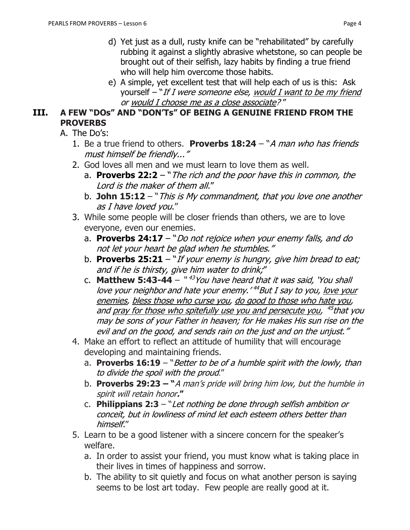- d) Yet just as a dull, rusty knife can be "rehabilitated" by carefully rubbing it against a slightly abrasive whetstone, so can people be brought out of their selfish, lazy habits by finding a true friend who will help him overcome those habits.
- e) A simple, yet excellent test that will help each of us is this: Ask yourself  $-$  "If I were someone else, would I want to be my friend or would I choose me as a close associate? "

#### **III. A FEW "DOs" AND "DON'Ts" OF BEING A GENUINE FRIEND FROM THE PROVERBS**

- A. The Do's:
	- 1. Be a true friend to others. **Proverbs 18:24**  "A man who has friends must himself be friendly..."
	- 2. God loves all men and we must learn to love them as well.
		- a. **Proverbs 22:2** "The rich and the poor have this in common, the Lord is the maker of them all."
		- b. **John 15:12** "This is My commandment, that you love one another as I have loved you."
	- 3. While some people will be closer friends than others, we are to love everyone, even our enemies.
		- a. **Proverbs 24:17**  "Do not rejoice when your enemy falls, and do not let your heart be glad when he stumbles."
		- b. **Proverbs 25:21** "If your enemy is hungry, give him bread to eat; and if he is thirsty, give him water to drink;"
		- c. **Matthew 5:43-44** "<sup>43</sup>You have heard that it was said, 'You shall love your neighbor and hate your enemy.' <sup>44</sup>But I say to you, <u>love your</u> enemies, bless those who curse you, do good to those who hate you, and <u>pray for those who spitefully use you and persecute you</u>, <sup>45</sup>that you may be sons of your Father in heaven; for He makes His sun rise on the evil and on the good, and sends rain on the just and on the unjust."
	- 4. Make an effort to reflect an attitude of humility that will encourage developing and maintaining friends.
		- a. **Proverbs 16:19** "Better to be of a humble spirit with the lowly, than to divide the spoil with the proud."
		- b. **Proverbs 29:23 – "**A man's pride will bring him low, but the humble in spirit will retain honor**."**
		- c. **Philippians 2:3** "Let nothing be done through selfish ambition or conceit, but in lowliness of mind let each esteem others better than himself."
	- 5. Learn to be a good listener with a sincere concern for the speaker's welfare.
		- a. In order to assist your friend, you must know what is taking place in their lives in times of happiness and sorrow.
		- b. The ability to sit quietly and focus on what another person is saying seems to be lost art today. Few people are really good at it.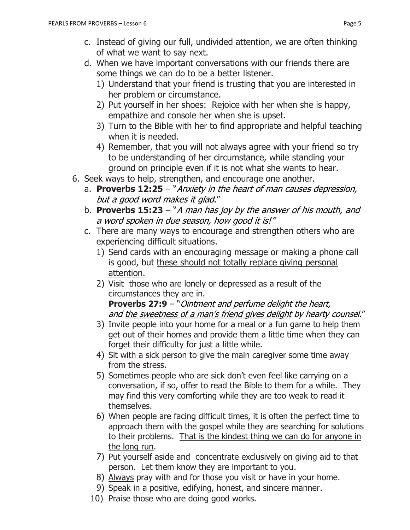- c. Instead of giving our full, undivided attention, we are often thinking of what we want to say next.
- d. When we have important conversations with our friends there are some things we can do to be a better listener.
	- 1) Understand that your friend is trusting that you are interested in her problem or circumstance.
	- 2) Put yourself in her shoes: Rejoice with her when she is happy, empathize and console her when she is upset.
	- 3) Turn to the Bible with her to find appropriate and helpful teaching when it is needed.
	- 4) Remember, that you will not always agree with your friend so try to be understanding of her circumstance, while standing your ground on principle even if it is not what she wants to hear.
- 6. Seek ways to help, strengthen, and encourage one another.
	- a. **Proverbs 12:25** "Anxiety in the heart of man causes depression, but a good word makes it glad."
	- b. **Proverbs 15:23** "A man has joy by the answer of his mouth, and a word spoken in due season, how good it is!"
	- c. There are many ways to encourage and strengthen others who are experiencing difficult situations.
		- 1) Send cards with an encouraging message or making a phone call is good, but these should not totally replace giving personal attention.
		- 2) Visit those who are lonely or depressed as a result of the circumstances they are in.

**Proverbs 27:9** – "Ointment and perfume delight the heart, and the sweetness of a man's friend gives delight by hearty counsel."

- 3) Invite people into your home for a meal or a fun game to help them get out of their homes and provide them a little time when they can forget their difficulty for just a little while.
- 4) Sit with a sick person to give the main caregiver some time away from the stress.
- 5) Sometimes people who are sick don't even feel like carrying on a conversation, if so, offer to read the Bible to them for a while. They may find this very comforting while they are too weak to read it themselves.
- 6) When people are facing difficult times, it is often the perfect time to approach them with the gospel while they are searching for solutions to their problems. That is the kindest thing we can do for anyone in the long run.
- 7) Put yourself aside and concentrate exclusively on giving aid to that person. Let them know they are important to you.
- 8) Always pray with and for those you visit or have in your home.
- 9) Speak in a positive, edifying, honest, and sincere manner.
- 10) Praise those who are doing good works.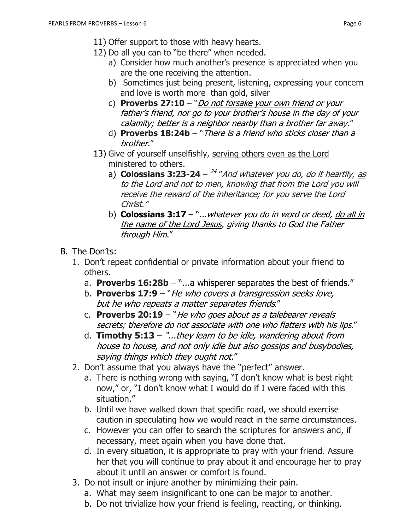- 11) Offer support to those with heavy hearts.
- 12) Do all you can to "be there" when needed.
	- a) Consider how much another's presence is appreciated when you are the one receiving the attention.
	- b) Sometimes just being present, listening, expressing your concern and love is worth more than gold, silver
	- c) **Proverbs 27:10**  "Do not forsake your own friend or your father's friend, nor go to your brother's house in the day of your calamity; better is a neighbor nearby than a brother far away."
	- d) **Proverbs 18:24b** "There is a friend who sticks closer than a brother."
- 13) Give of yourself unselfishly, serving others even as the Lord ministered to others.
	- a) **Colossians 3:23-24**  24 "And whatever you do, do it heartily, as to the Lord and not to men, knowing that from the Lord you will receive the reward of the inheritance; for you serve the Lord Christ."
	- b) **Colossians 3:17**  "...whatever you do in word or deed, do all in the name of the Lord Jesus, giving thanks to God the Father through Him."
- B. The Don'ts:
	- 1. Don't repeat confidential or private information about your friend to others.
		- a. **Proverbs 16:28b**  "...a whisperer separates the best of friends."
		- b. **Proverbs 17:9**  "He who covers a transgression seeks love, but he who repeats a matter separates friends."
		- c. **Proverbs 20:19** "He who goes about as a talebearer reveals secrets; therefore do not associate with one who flatters with his lips."
		- d. **Timothy 5:13** "...they learn to be idle, wandering about from house to house, and not only idle but also gossips and busybodies, saying things which they ought not."
	- 2. Don't assume that you always have the "perfect" answer.
		- a. There is nothing wrong with saying, "I don't know what is best right now," or, "I don't know what I would do if I were faced with this situation."
		- b. Until we have walked down that specific road, we should exercise caution in speculating how we would react in the same circumstances.
		- c. However you can offer to search the scriptures for answers and, if necessary, meet again when you have done that.
		- d. In every situation, it is appropriate to pray with your friend. Assure her that you will continue to pray about it and encourage her to pray about it until an answer or comfort is found.
	- 3. Do not insult or injure another by minimizing their pain.
		- a. What may seem insignificant to one can be major to another.
		- b. Do not trivialize how your friend is feeling, reacting, or thinking.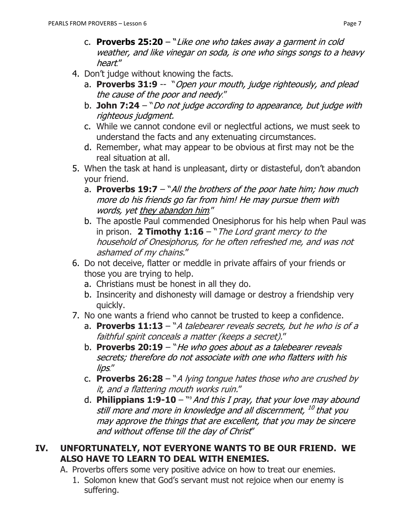- c. **Proverbs 25:20**  "Like one who takes away a garment in cold weather, and like vinegar on soda, is one who sings songs to a heavy heart."
- 4. Don't judge without knowing the facts.
	- a. **Proverbs 31:9** -- "Open your mouth, judge righteously, and plead the cause of the poor and needy."
	- b. **John 7:24** "Do not judge according to appearance, but judge with righteous judgment.
	- c. While we cannot condone evil or neglectful actions, we must seek to understand the facts and any extenuating circumstances.
	- d. Remember, what may appear to be obvious at first may not be the real situation at all.
- 5. When the task at hand is unpleasant, dirty or distasteful, don't abandon your friend.
	- a. **Proverbs 19:7** "All the brothers of the poor hate him; how much more do his friends go far from him! He may pursue them with words, yet they abandon him*.*"
	- b. The apostle Paul commended Onesiphorus for his help when Paul was in prison. **2 Timothy 1:16** – "The Lord grant mercy to the household of Onesiphorus, for he often refreshed me, and was not ashamed of my chains."
- 6. Do not deceive, flatter or meddle in private affairs of your friends or those you are trying to help.
	- a. Christians must be honest in all they do.
	- b. Insincerity and dishonesty will damage or destroy a friendship very quickly.
- 7. No one wants a friend who cannot be trusted to keep a confidence.
	- a. **Proverbs 11:13**  "A talebearer reveals secrets, but he who is of a faithful spirit conceals a matter (keeps a secret)."
	- b. **Proverbs 20:19** "*He who goes about as a talebearer reveals* secrets; therefore do not associate with one who flatters with his lips."
	- c. **Proverbs 26:28**  "A lying tongue hates those who are crushed by it, and a flattering mouth works ruin."
	- d. Philippians 1:9-10 <sup>so</sup> And this I pray, that your love may abound still more and more in knowledge and all discernment, <sup>10</sup> that you may approve the things that are excellent, that you may be sincere and without offense till the day of Christ"

#### **IV. UNFORTUNATELY, NOT EVERYONE WANTS TO BE OUR FRIEND. WE ALSO HAVE TO LEARN TO DEAL WITH ENEMIES.**

- A. Proverbs offers some very positive advice on how to treat our enemies.
	- 1. Solomon knew that God's servant must not rejoice when our enemy is suffering.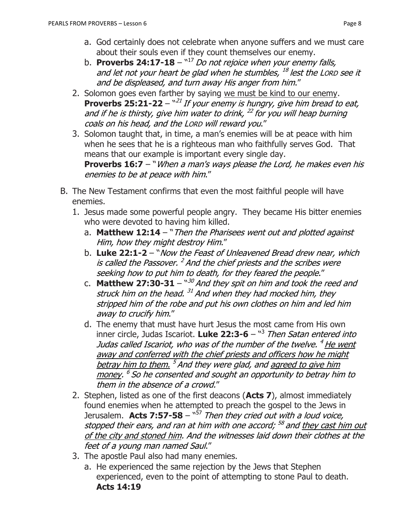- a. God certainly does not celebrate when anyone suffers and we must care about their souls even if they count themselves our enemy.
- b. **Proverbs 24:17-18** <sup>w17</sup> Do not rejoice when your enemy falls, and let not your heart be glad when he stumbles, <sup>18</sup> lest the Lorp see it and be displeased, and turn away His anger from him."
- 2. Solomon goes even farther by saying we must be kind to our enemy. **Proverbs 25:21-22** – "<sup>21</sup> If your enemy is hungry, give him bread to eat, and if he is thirsty, give him water to drink,  $^{22}$  for you will heap burning coals on his head, and the LORD will reward you."
- 3. Solomon taught that, in time, a man's enemies will be at peace with him when he sees that he is a righteous man who faithfully serves God. That means that our example is important every single day. **Proverbs 16:7** – "When a man's ways please the Lord, he makes even his enemies to be at peace with him."
- B. The New Testament confirms that even the most faithful people will have enemies.
	- 1. Jesus made some powerful people angry. They became His bitter enemies who were devoted to having him killed.
		- a. **Matthew 12:14**  "Then the Pharisees went out and plotted against Him, how they might destroy Him."
		- b. **Luke 22:1-2**  "Now the Feast of Unleavened Bread drew near, which is called the Passover. <sup>2</sup> And the chief priests and the scribes were seeking how to put him to death, for they feared the people."
		- c. **Matthew 27:30-31** "<sup>30</sup> And they spit on him and took the reed and struck him on the head. <sup>31</sup> And when they had mocked him, they stripped him of the robe and put his own clothes on him and led him away to crucify him."
		- d. The enemy that must have hurt Jesus the most came from His own inner circle, Judas Iscariot. **Luke 22:3-6** – " 3 Then Satan entered into Judas called Iscariot, who was of the number of the twelve. <sup>4</sup> <u>He went</u> away and conferred with the chief priests and officers how he might betray him to them. <sup>5</sup> And they were glad, and <u>agreed to give him</u> money. <sup>6</sup> So he consented and sought an opportunity to betray him to them in the absence of a crowd."
	- 2. Stephen, listed as one of the first deacons (**Acts 7**), almost immediately found enemies when he attempted to preach the gospel to the Jews in Jerusalem. **Acts 7:57-58** – "<sup>57</sup> Then they cried out with a loud voice, stopped their ears, and ran at him with one accord; <sup>58</sup> and <u>they cast him out</u> of the city and stoned him. And the witnesses laid down their clothes at the feet of a young man named Saul."
	- 3. The apostle Paul also had many enemies.
		- a. He experienced the same rejection by the Jews that Stephen experienced, even to the point of attempting to stone Paul to death. **Acts 14:19**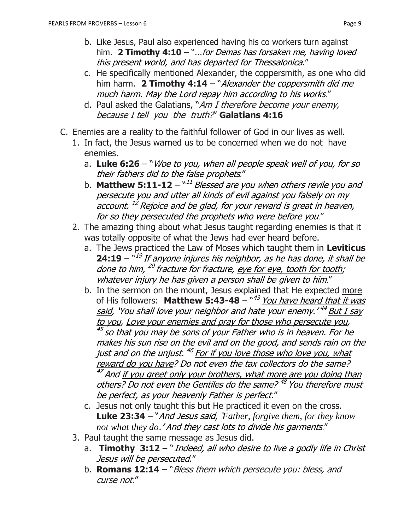- b. Like Jesus, Paul also experienced having his co workers turn against him. **2 Timothy 4:10** – "...for Demas has forsaken me, having loved this present world, and has departed for Thessalonica."
- c. He specifically mentioned Alexander, the coppersmith, as one who did him harm. **2 Timothy 4:14** – "Alexander the coppersmith did me much harm. May the Lord repay him according to his works."
- d. Paul asked the Galatians, "Am I therefore become your enemy, because I tell you the truth?" **Galatians 4:16**
- C. Enemies are a reality to the faithful follower of God in our lives as well.
	- 1. In fact, the Jesus warned us to be concerned when we do not have enemies.
		- a. **Luke 6:26** "Woe to you, when all people speak well of you, for so their fathers did to the false prophets."
		- b. **Matthew 5:11-12** "<sup>11</sup> Blessed are you when others revile you and persecute you and utter all kinds of evil against you falsely on my account. <sup>12</sup> Rejoice and be glad, for your reward is great in heaven, for so they persecuted the prophets who were before you."
	- 2. The amazing thing about what Jesus taught regarding enemies is that it was totally opposite of what the Jews had ever heard before.
		- a. The Jews practiced the Law of Moses which taught them in **Leviticus 24:19** – " 19 If anyone injures his neighbor, as he has done, it shall be done to him, <sup>20</sup> fracture for fracture, <u>eye for eye, tooth for tooth</u>; whatever injury he has given a person shall be given to him."
		- b. In the sermon on the mount, Jesus explained that He expected more of His followers: **Matthew 5:43-48** – "<sup>43</sup> You have heard that it was <u>said</u>, 'You shall love your neighbor and hate your enemy.' <sup>44</sup> But I say to you, Love your enemies and pray for those who persecute you,

 $^{45}$  so that you may be sons of your Father who is in heaven. For he makes his sun rise on the evil and on the good, and sends rain on the just and on the unjust. <sup>46</sup> For if you love those who love you, what reward do you have? Do not even the tax collectors do the same? <sup>47</sup> And <u>if you greet only your brothers, what more are you doing than</u> others? Do not even the Gentiles do the same? 48 You therefore must be perfect, as your heavenly Father is perfect."

- c. Jesus not only taught this but He practiced it even on the cross. **Luke 23:34** – "And Jesus said, '*Father, forgive them, for they know not what they do*.' And they cast lots to divide his garments."
- 3. Paul taught the same message as Jesus did.
	- a. **Timothy 3:12** "*Indeed, all who desire to live a godly life in Christ* Jesus will be persecuted."
	- b. **Romans 12:14** "Bless them which persecute you: bless, and curse not."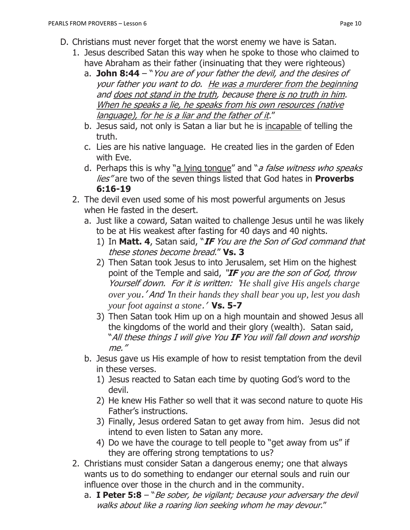- D. Christians must never forget that the worst enemy we have is Satan.
	- 1. Jesus described Satan this way when he spoke to those who claimed to have Abraham as their father (insinuating that they were righteous)
		- a. **John 8:44**  "You are of your father the devil, and the desires of your father you want to do. He was a murderer from the beginning and does not stand in the truth, because there is no truth in him. When he speaks a lie, he speaks from his own resources (native language), for he is a liar and the father of it."
		- b. Jesus said, not only is Satan a liar but he is incapable of telling the truth.
		- c. Lies are his native language. He created lies in the garden of Eden with Eve.
		- d. Perhaps this is why "a lying tonque" and "a false witness who speaks lies" are two of the seven things listed that God hates in **Proverbs 6:16-19**
	- 2. The devil even used some of his most powerful arguments on Jesus when He fasted in the desert.
		- a. Just like a coward, Satan waited to challenge Jesus until he was likely to be at His weakest after fasting for 40 days and 40 nights.
			- 1) In **Matt. 4**, Satan said, "**IF** You are the Son of God command that these stones become bread." **Vs. 3**
			- 2) Then Satan took Jesus to into Jerusalem, set Him on the highest point of the Temple and said, "**IF** you are the son of God, throw Yourself down. For it is written: '*He shall give His angels charge over you*.' And '*In their hands they shall bear you up, lest you dash your foot against a stone*.' **Vs. 5-7**
			- 3) Then Satan took Him up on a high mountain and showed Jesus all the kingdoms of the world and their glory (wealth). Satan said, "All these things I will give You **IF** You will fall down and worship me."
		- b. Jesus gave us His example of how to resist temptation from the devil in these verses.
			- 1) Jesus reacted to Satan each time by quoting God's word to the devil.
			- 2) He knew His Father so well that it was second nature to quote His Father's instructions.
			- 3) Finally, Jesus ordered Satan to get away from him. Jesus did not intend to even listen to Satan any more.
			- 4) Do we have the courage to tell people to "get away from us" if they are offering strong temptations to us?
	- 2. Christians must consider Satan a dangerous enemy; one that always wants us to do something to endanger our eternal souls and ruin our influence over those in the church and in the community.
		- a. **I Peter 5:8** "Be sober, be vigilant; because your adversary the devil walks about like a roaring lion seeking whom he may devour."